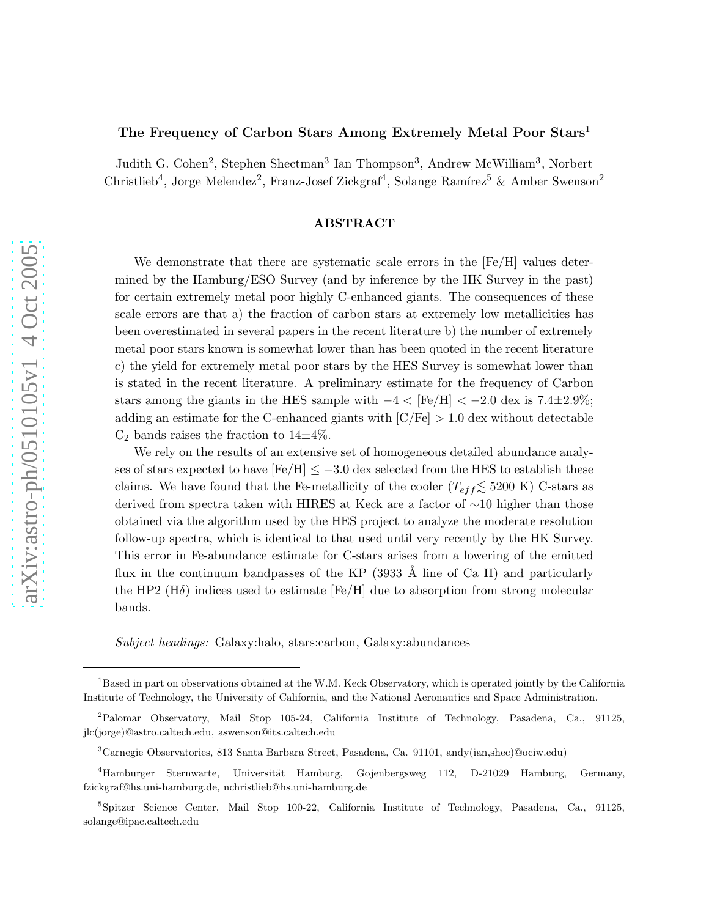## The Frequency of Carbon Stars Among Extremely Metal Poor Stars<sup>1</sup>

Judith G. Cohen<sup>2</sup>, Stephen Shectman<sup>3</sup> Ian Thompson<sup>3</sup>, Andrew McWilliam<sup>3</sup>, Norbert Christlieb<sup>4</sup>, Jorge Melendez<sup>2</sup>, Franz-Josef Zickgraf<sup>4</sup>, Solange Ramírez<sup>5</sup> & Amber Swenson<sup>2</sup>

### ABSTRACT

We demonstrate that there are systematic scale errors in the  $[Fe/H]$  values determined by the Hamburg/ESO Survey (and by inference by the HK Survey in the past) for certain extremely metal poor highly C-enhanced giants. The consequences of these scale errors are that a) the fraction of carbon stars at extremely low metallicities has been overestimated in several papers in the recent literature b) the number of extremely metal poor stars known is somewhat lower than has been quoted in the recent literature c) the yield for extremely metal poor stars by the HES Survey is somewhat lower than is stated in the recent literature. A preliminary estimate for the frequency of Carbon stars among the giants in the HES sample with  $-4 < [Fe/H] < -2.0$  dex is 7.4±2.9%; adding an estimate for the C-enhanced giants with  $\left[\frac{C}{Fe}\right] > 1.0$  dex without detectable  $C_2$  bands raises the fraction to  $14\pm4\%$ .

We rely on the results of an extensive set of homogeneous detailed abundance analyses of stars expected to have  $[Fe/H] \le -3.0$  dex selected from the HES to establish these claims. We have found that the Fe-metallicity of the cooler  $(T_{eff} \lesssim 5200 \text{ K})$  C-stars as derived from spectra taken with HIRES at Keck are a factor of ∼10 higher than those obtained via the algorithm used by the HES project to analyze the moderate resolution follow-up spectra, which is identical to that used until very recently by the HK Survey. This error in Fe-abundance estimate for C-stars arises from a lowering of the emitted flux in the continuum bandpasses of the KP  $(3933 \text{ Å}$  line of Ca II) and particularly the HP2 ( $H\delta$ ) indices used to estimate [Fe/H] due to absorption from strong molecular bands.

*Subject headings:* Galaxy:halo, stars:carbon, Galaxy:abundances

<sup>&</sup>lt;sup>1</sup>Based in part on observations obtained at the W.M. Keck Observatory, which is operated jointly by the California Institute of Technology, the University of California, and the National Aeronautics and Space Administration.

<sup>2</sup>Palomar Observatory, Mail Stop 105-24, California Institute of Technology, Pasadena, Ca., 91125, jlc(jorge)@astro.caltech.edu, aswenson@its.caltech.edu

<sup>3</sup>Carnegie Observatories, 813 Santa Barbara Street, Pasadena, Ca. 91101, andy(ian,shec)@ociw.edu)

<sup>&</sup>lt;sup>4</sup>Hamburger Sternwarte, Universität Hamburg, Gojenbergsweg 112, D-21029 Hamburg, Germany, fzickgraf@hs.uni-hamburg.de, nchristlieb@hs.uni-hamburg.de

<sup>5</sup> Spitzer Science Center, Mail Stop 100-22, California Institute of Technology, Pasadena, Ca., 91125, solange@ipac.caltech.edu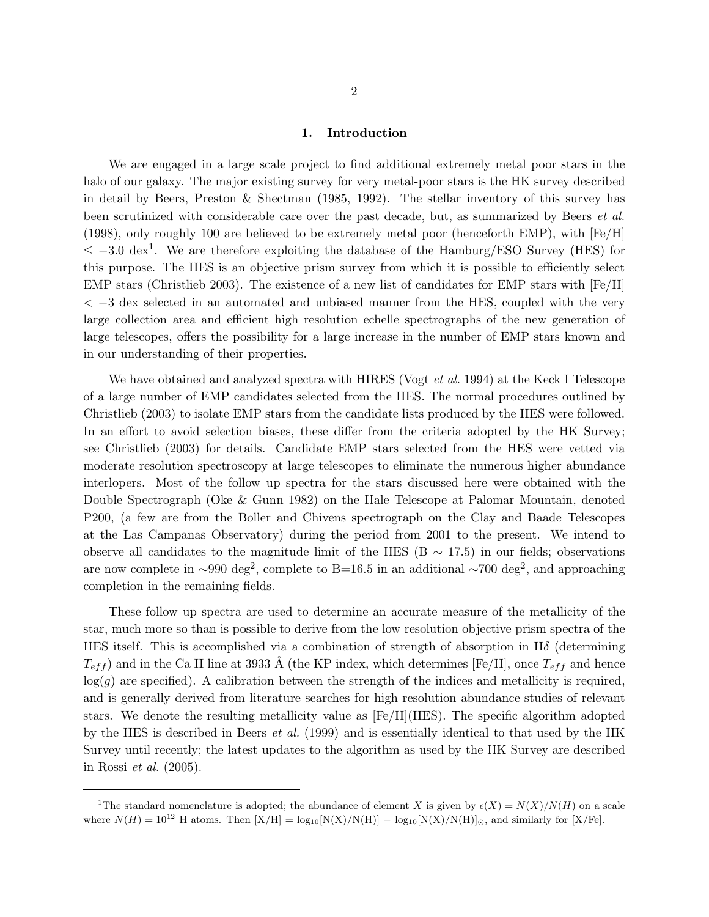### 1. Introduction

We are engaged in a large scale project to find additional extremely metal poor stars in the halo of our galaxy. The major existing survey for very metal-poor stars is the HK survey described in detail by Beers, Preston & Shectman (1985, 1992). The stellar inventory of this survey has been scrutinized with considerable care over the past decade, but, as summarized by Beers *et al.* (1998), only roughly 100 are believed to be extremely metal poor (henceforth EMP), with [Fe/H]  $\leq$  -3.0 dex<sup>1</sup>. We are therefore exploiting the database of the Hamburg/ESO Survey (HES) for this purpose. The HES is an objective prism survey from which it is possible to efficiently select EMP stars (Christlieb 2003). The existence of a new list of candidates for EMP stars with [Fe/H] < −3 dex selected in an automated and unbiased manner from the HES, coupled with the very large collection area and efficient high resolution echelle spectrographs of the new generation of large telescopes, offers the possibility for a large increase in the number of EMP stars known and in our understanding of their properties.

We have obtained and analyzed spectra with HIRES (Vogt *et al.* 1994) at the Keck I Telescope of a large number of EMP candidates selected from the HES. The normal procedures outlined by Christlieb (2003) to isolate EMP stars from the candidate lists produced by the HES were followed. In an effort to avoid selection biases, these differ from the criteria adopted by the HK Survey; see Christlieb (2003) for details. Candidate EMP stars selected from the HES were vetted via moderate resolution spectroscopy at large telescopes to eliminate the numerous higher abundance interlopers. Most of the follow up spectra for the stars discussed here were obtained with the Double Spectrograph (Oke & Gunn 1982) on the Hale Telescope at Palomar Mountain, denoted P200, (a few are from the Boller and Chivens spectrograph on the Clay and Baade Telescopes at the Las Campanas Observatory) during the period from 2001 to the present. We intend to observe all candidates to the magnitude limit of the HES (B  $\sim$  17.5) in our fields; observations are now complete in ~990 deg<sup>2</sup>, complete to B=16.5 in an additional ~700 deg<sup>2</sup>, and approaching completion in the remaining fields.

These follow up spectra are used to determine an accurate measure of the metallicity of the star, much more so than is possible to derive from the low resolution objective prism spectra of the HES itself. This is accomplished via a combination of strength of absorption in H $\delta$  (determining  $T_{eff}$ ) and in the Ca II line at 3933 Å (the KP index, which determines [Fe/H], once  $T_{eff}$  and hence  $log(g)$  are specified). A calibration between the strength of the indices and metallicity is required, and is generally derived from literature searches for high resolution abundance studies of relevant stars. We denote the resulting metallicity value as [Fe/H](HES). The specific algorithm adopted by the HES is described in Beers *et al.* (1999) and is essentially identical to that used by the HK Survey until recently; the latest updates to the algorithm as used by the HK Survey are described in Rossi *et al.* (2005).

<sup>&</sup>lt;sup>1</sup>The standard nomenclature is adopted; the abundance of element X is given by  $\epsilon(X) = N(X)/N(H)$  on a scale where  $N(H) = 10^{12}$  H atoms. Then  $[X/H] = \log_{10}[N(X)/N(H)] - \log_{10}[N(X)/N(H)]_{\odot}$ , and similarly for [X/Fe].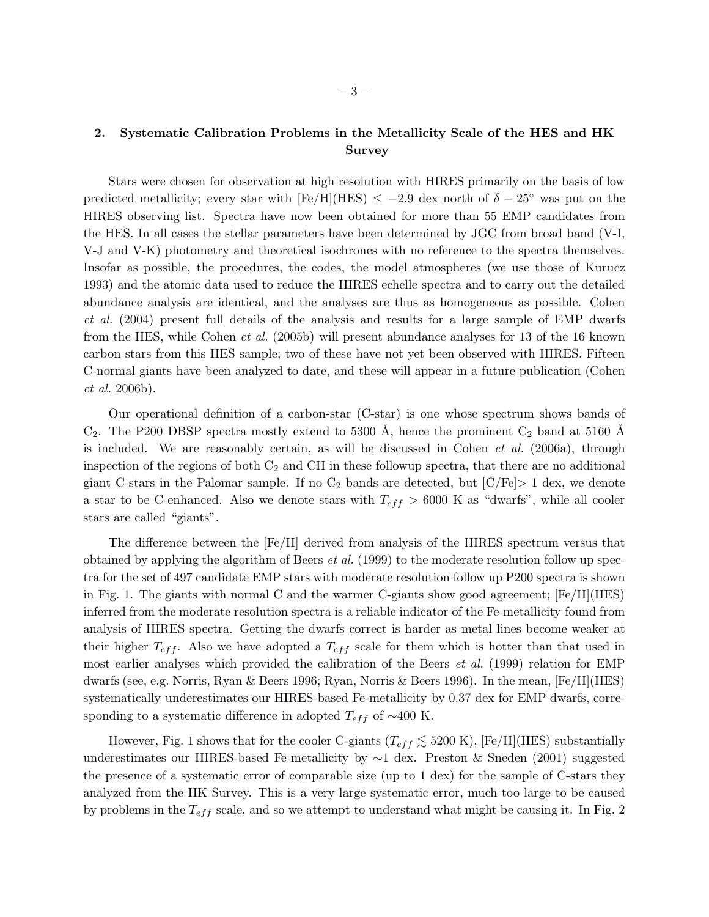# 2. Systematic Calibration Problems in the Metallicity Scale of the HES and HK Survey

Stars were chosen for observation at high resolution with HIRES primarily on the basis of low predicted metallicity; every star with  $[Fe/H](HES) \le -2.9$  dex north of  $\delta - 25^\circ$  was put on the HIRES observing list. Spectra have now been obtained for more than 55 EMP candidates from the HES. In all cases the stellar parameters have been determined by JGC from broad band (V-I, V-J and V-K) photometry and theoretical isochrones with no reference to the spectra themselves. Insofar as possible, the procedures, the codes, the model atmospheres (we use those of Kurucz 1993) and the atomic data used to reduce the HIRES echelle spectra and to carry out the detailed abundance analysis are identical, and the analyses are thus as homogeneous as possible. Cohen *et al.* (2004) present full details of the analysis and results for a large sample of EMP dwarfs from the HES, while Cohen *et al.* (2005b) will present abundance analyses for 13 of the 16 known carbon stars from this HES sample; two of these have not yet been observed with HIRES. Fifteen C-normal giants have been analyzed to date, and these will appear in a future publication (Cohen *et al.* 2006b).

Our operational definition of a carbon-star (C-star) is one whose spectrum shows bands of  $C_2$ . The P200 DBSP spectra mostly extend to 5300 Å, hence the prominent  $C_2$  band at 5160 Å is included. We are reasonably certain, as will be discussed in Cohen *et al.* (2006a), through inspection of the regions of both  $C_2$  and CH in these followup spectra, that there are no additional giant C-stars in the Palomar sample. If no  $C_2$  bands are detected, but  $[C/Fe] > 1$  dex, we denote a star to be C-enhanced. Also we denote stars with  $T_{eff} > 6000$  K as "dwarfs", while all cooler stars are called "giants".

The difference between the [Fe/H] derived from analysis of the HIRES spectrum versus that obtained by applying the algorithm of Beers *et al.* (1999) to the moderate resolution follow up spectra for the set of 497 candidate EMP stars with moderate resolution follow up P200 spectra is shown in Fig. 1. The giants with normal C and the warmer C-giants show good agreement;  $[Fe/H](HES)$ inferred from the moderate resolution spectra is a reliable indicator of the Fe-metallicity found from analysis of HIRES spectra. Getting the dwarfs correct is harder as metal lines become weaker at their higher  $T_{eff}$ . Also we have adopted a  $T_{eff}$  scale for them which is hotter than that used in most earlier analyses which provided the calibration of the Beers *et al.* (1999) relation for EMP dwarfs (see, e.g. Norris, Ryan & Beers 1996; Ryan, Norris & Beers 1996). In the mean, [Fe/H](HES) systematically underestimates our HIRES-based Fe-metallicity by 0.37 dex for EMP dwarfs, corresponding to a systematic difference in adopted  $T_{eff}$  of ~400 K.

However, Fig. 1 shows that for the cooler C-giants ( $T_{eff} \lesssim 5200$  K), [Fe/H](HES) substantially underestimates our HIRES-based Fe-metallicity by ∼1 dex. Preston & Sneden (2001) suggested the presence of a systematic error of comparable size (up to 1 dex) for the sample of C-stars they analyzed from the HK Survey. This is a very large systematic error, much too large to be caused by problems in the  $T_{eff}$  scale, and so we attempt to understand what might be causing it. In Fig. 2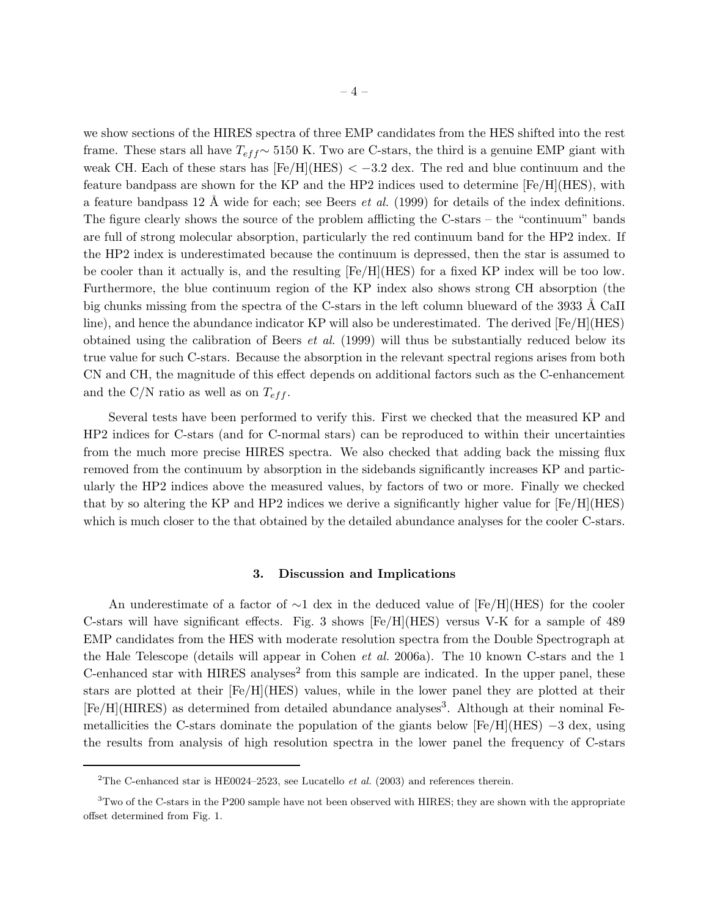we show sections of the HIRES spectra of three EMP candidates from the HES shifted into the rest frame. These stars all have  $T_{eff}$  ∼ 5150 K. Two are C-stars, the third is a genuine EMP giant with weak CH. Each of these stars has  $[Fe/H](HES) < -3.2$  dex. The red and blue continuum and the feature bandpass are shown for the KP and the HP2 indices used to determine [Fe/H](HES), with a feature bandpass 12  $\AA$  wide for each; see Beers *et al.* (1999) for details of the index definitions. The figure clearly shows the source of the problem afflicting the C-stars – the "continuum" bands are full of strong molecular absorption, particularly the red continuum band for the HP2 index. If the HP2 index is underestimated because the continuum is depressed, then the star is assumed to be cooler than it actually is, and the resulting [Fe/H](HES) for a fixed KP index will be too low. Furthermore, the blue continuum region of the KP index also shows strong CH absorption (the big chunks missing from the spectra of the C-stars in the left column blueward of the 3933 Å CaII line), and hence the abundance indicator KP will also be underestimated. The derived [Fe/H](HES) obtained using the calibration of Beers *et al.* (1999) will thus be substantially reduced below its true value for such C-stars. Because the absorption in the relevant spectral regions arises from both CN and CH, the magnitude of this effect depends on additional factors such as the C-enhancement and the C/N ratio as well as on  $T_{eff}$ .

Several tests have been performed to verify this. First we checked that the measured KP and HP2 indices for C-stars (and for C-normal stars) can be reproduced to within their uncertainties from the much more precise HIRES spectra. We also checked that adding back the missing flux removed from the continuum by absorption in the sidebands significantly increases KP and particularly the HP2 indices above the measured values, by factors of two or more. Finally we checked that by so altering the KP and HP2 indices we derive a significantly higher value for [Fe/H](HES) which is much closer to the that obtained by the detailed abundance analyses for the cooler C-stars.

#### 3. Discussion and Implications

An underestimate of a factor of  $\sim$ 1 dex in the deduced value of [Fe/H](HES) for the cooler C-stars will have significant effects. Fig. 3 shows [Fe/H](HES) versus V-K for a sample of 489 EMP candidates from the HES with moderate resolution spectra from the Double Spectrograph at the Hale Telescope (details will appear in Cohen *et al.* 2006a). The 10 known C-stars and the 1 C-enhanced star with HIRES analyses<sup>2</sup> from this sample are indicated. In the upper panel, these stars are plotted at their [Fe/H](HES) values, while in the lower panel they are plotted at their [Fe/H](HIRES) as determined from detailed abundance analyses<sup>3</sup>. Although at their nominal Femetallicities the C-stars dominate the population of the giants below  $[Fe/H](HES) - 3$  dex, using the results from analysis of high resolution spectra in the lower panel the frequency of C-stars

<sup>&</sup>lt;sup>2</sup>The C-enhanced star is HE0024–2523, see Lucatello et al. (2003) and references therein.

<sup>&</sup>lt;sup>3</sup>Two of the C-stars in the P200 sample have not been observed with HIRES; they are shown with the appropriate offset determined from Fig. 1.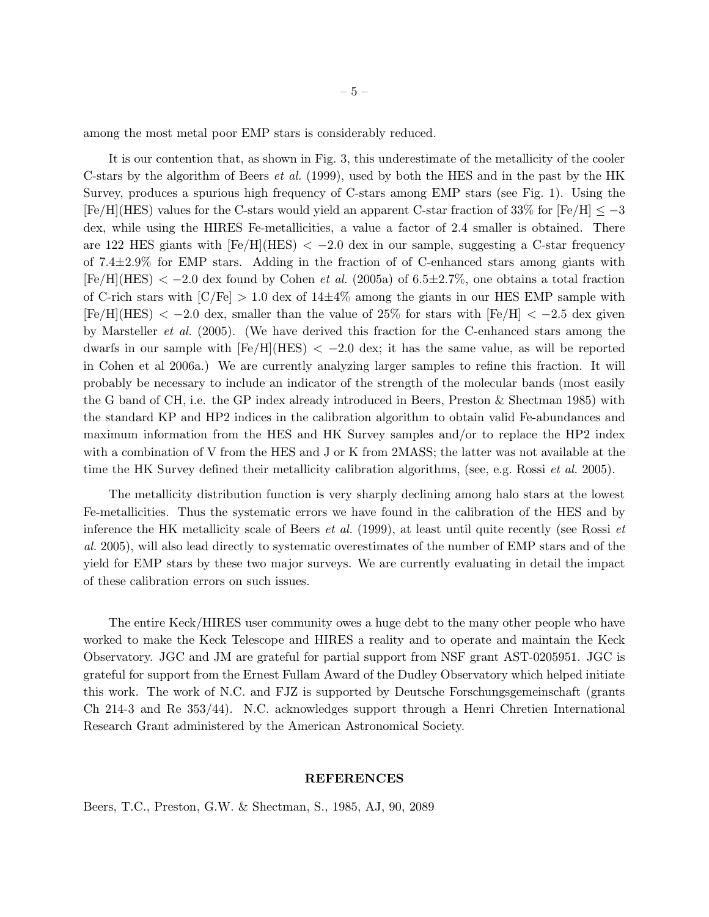among the most metal poor EMP stars is considerably reduced.

It is our contention that, as shown in Fig. 3, this underestimate of the metallicity of the cooler C-stars by the algorithm of Beers *et al.* (1999), used by both the HES and in the past by the HK Survey, produces a spurious high frequency of C-stars among EMP stars (see Fig. 1). Using the  $[Fe/H](HES)$  values for the C-stars would yield an apparent C-star fraction of 33% for  $[Fe/H] \le -3$ dex, while using the HIRES Fe-metallicities, a value a factor of 2.4 smaller is obtained. There are 122 HES giants with  $[Fe/H](HES) < -2.0$  dex in our sample, suggesting a C-star frequency of  $7.4\pm2.9\%$  for EMP stars. Adding in the fraction of of C-enhanced stars among giants with  $[Fe/H](HES) < -2.0$  dex found by Cohen *et al.* (2005a) of 6.5±2.7%, one obtains a total fraction of C-rich stars with  $\text{[C/Fe]} > 1.0$  dex of  $14\pm4\%$  among the giants in our HES EMP sample with  $[Fe/H](HES) < -2.0$  dex, smaller than the value of 25% for stars with  $[Fe/H] < -2.5$  dex given by Marsteller *et al.* (2005). (We have derived this fraction for the C-enhanced stars among the dwarfs in our sample with  $[Fe/H](HES) < -2.0$  dex; it has the same value, as will be reported in Cohen et al 2006a.) We are currently analyzing larger samples to refine this fraction. It will probably be necessary to include an indicator of the strength of the molecular bands (most easily the G band of CH, i.e. the GP index already introduced in Beers, Preston & Shectman 1985) with the standard KP and HP2 indices in the calibration algorithm to obtain valid Fe-abundances and maximum information from the HES and HK Survey samples and/or to replace the HP2 index with a combination of V from the HES and J or K from 2MASS; the latter was not available at the time the HK Survey defined their metallicity calibration algorithms, (see, e.g. Rossi *et al.* 2005).

The metallicity distribution function is very sharply declining among halo stars at the lowest Fe-metallicities. Thus the systematic errors we have found in the calibration of the HES and by inference the HK metallicity scale of Beers *et al.* (1999), at least until quite recently (see Rossi *et al.* 2005), will also lead directly to systematic overestimates of the number of EMP stars and of the yield for EMP stars by these two major surveys. We are currently evaluating in detail the impact of these calibration errors on such issues.

The entire Keck/HIRES user community owes a huge debt to the many other people who have worked to make the Keck Telescope and HIRES a reality and to operate and maintain the Keck Observatory. JGC and JM are grateful for partial support from NSF grant AST-0205951. JGC is grateful for support from the Ernest Fullam Award of the Dudley Observatory which helped initiate this work. The work of N.C. and FJZ is supported by Deutsche Forschungsgemeinschaft (grants Ch 214-3 and Re 353/44). N.C. acknowledges support through a Henri Chretien International Research Grant administered by the American Astronomical Society.

#### REFERENCES

Beers, T.C., Preston, G.W. & Shectman, S., 1985, AJ, 90, 2089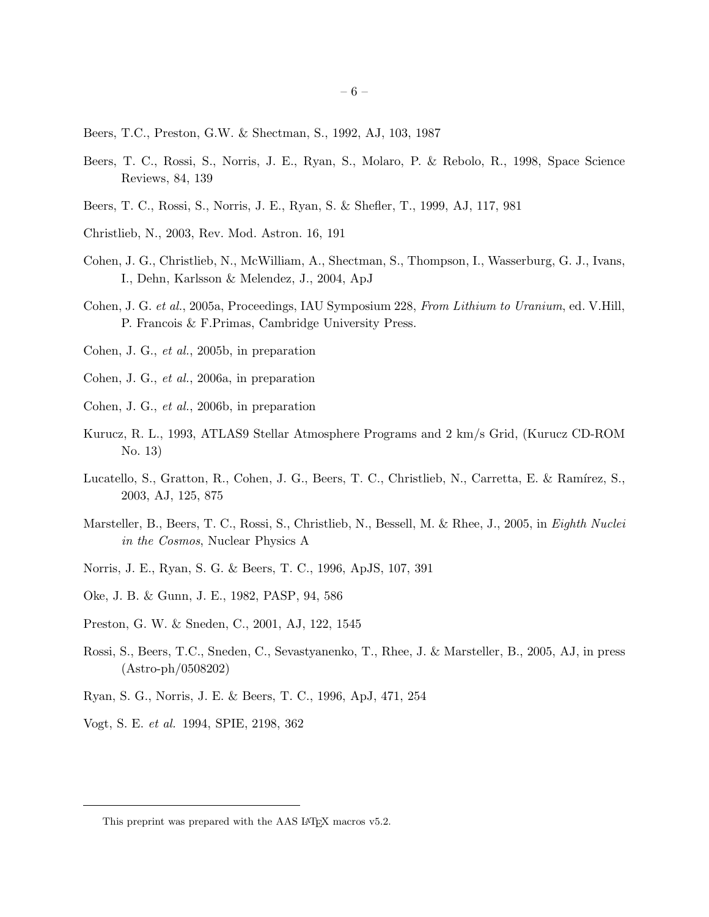- Beers, T.C., Preston, G.W. & Shectman, S., 1992, AJ, 103, 1987
- Beers, T. C., Rossi, S., Norris, J. E., Ryan, S., Molaro, P. & Rebolo, R., 1998, Space Science Reviews, 84, 139
- Beers, T. C., Rossi, S., Norris, J. E., Ryan, S. & Shefler, T., 1999, AJ, 117, 981
- Christlieb, N., 2003, Rev. Mod. Astron. 16, 191
- Cohen, J. G., Christlieb, N., McWilliam, A., Shectman, S., Thompson, I., Wasserburg, G. J., Ivans, I., Dehn, Karlsson & Melendez, J., 2004, ApJ
- Cohen, J. G. *et al.*, 2005a, Proceedings, IAU Symposium 228, *From Lithium to Uranium*, ed. V.Hill, P. Francois & F.Primas, Cambridge University Press.
- Cohen, J. G., *et al.*, 2005b, in preparation
- Cohen, J. G., *et al.*, 2006a, in preparation
- Cohen, J. G., *et al.*, 2006b, in preparation
- Kurucz, R. L., 1993, ATLAS9 Stellar Atmosphere Programs and 2 km/s Grid, (Kurucz CD-ROM No. 13)
- Lucatello, S., Gratton, R., Cohen, J. G., Beers, T. C., Christlieb, N., Carretta, E. & Ramírez, S., 2003, AJ, 125, 875
- Marsteller, B., Beers, T. C., Rossi, S., Christlieb, N., Bessell, M. & Rhee, J., 2005, in *Eighth Nuclei in the Cosmos*, Nuclear Physics A
- Norris, J. E., Ryan, S. G. & Beers, T. C., 1996, ApJS, 107, 391
- Oke, J. B. & Gunn, J. E., 1982, PASP, 94, 586
- Preston, G. W. & Sneden, C., 2001, AJ, 122, 1545
- Rossi, S., Beers, T.C., Sneden, C., Sevastyanenko, T., Rhee, J. & Marsteller, B., 2005, AJ, in press (Astro-ph/0508202)
- Ryan, S. G., Norris, J. E. & Beers, T. C., 1996, ApJ, 471, 254
- Vogt, S. E. *et al.* 1994, SPIE, 2198, 362

This preprint was prepared with the AAS IATEX macros v5.2.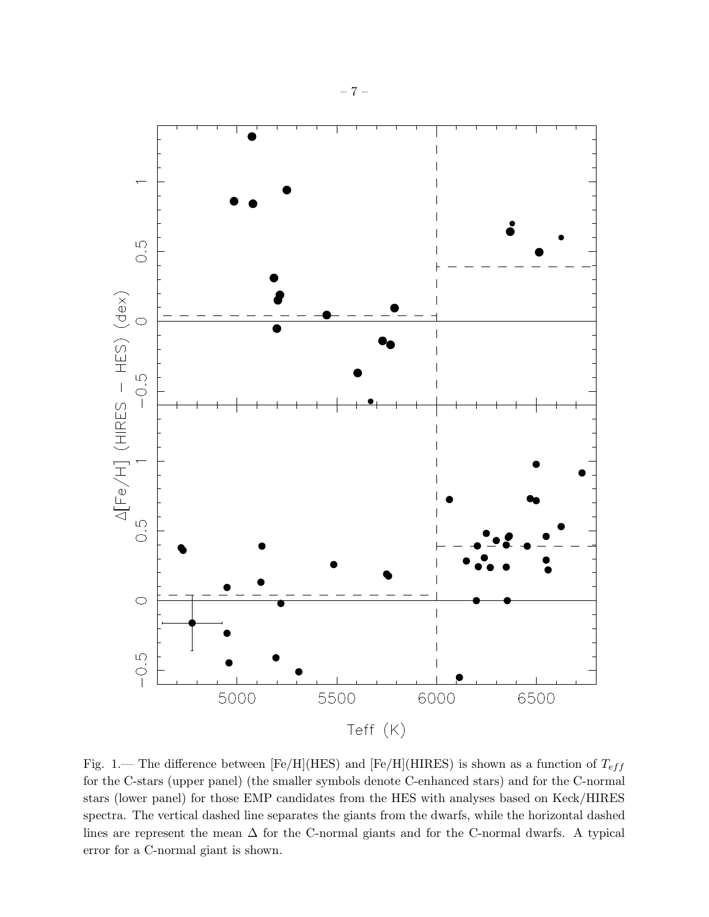

Fig. 1.— The difference between [Fe/H](HES) and [Fe/H](HIRES) is shown as a function of  $T_{eff}$ for the C-stars (upper panel) (the smaller symbols denote C-enhanced stars) and for the C-normal stars (lower panel) for those EMP candidates from the HES with analyses based on Keck/HIRES spectra. The vertical dashed line separates the giants from the dwarfs, while the horizontal dashed lines are represent the mean  $\Delta$  for the C-normal giants and for the C-normal dwarfs. A typical error for a C-normal giant is shown.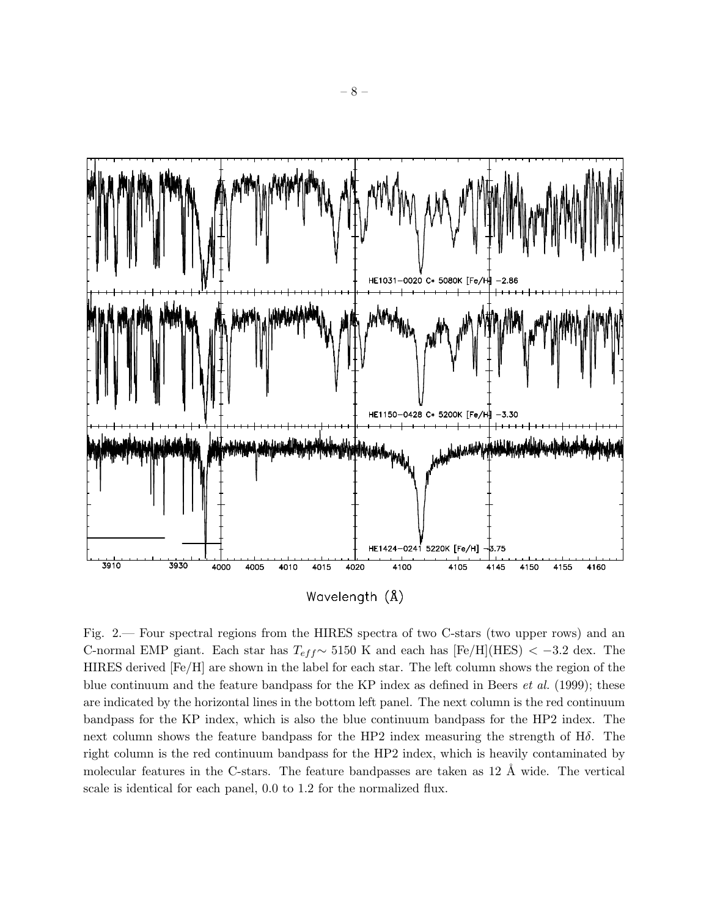

Fig. 2.— Four spectral regions from the HIRES spectra of two C-stars (two upper rows) and an C-normal EMP giant. Each star has  $T_{eff}$  ∼ 5150 K and each has [Fe/H](HES) < -3.2 dex. The HIRES derived [Fe/H] are shown in the label for each star. The left column shows the region of the blue continuum and the feature bandpass for the KP index as defined in Beers *et al.* (1999); these are indicated by the horizontal lines in the bottom left panel. The next column is the red continuum bandpass for the KP index, which is also the blue continuum bandpass for the HP2 index. The next column shows the feature bandpass for the HP2 index measuring the strength of Hδ. The right column is the red continuum bandpass for the HP2 index, which is heavily contaminated by molecular features in the C-stars. The feature bandpasses are taken as  $12 \text{ Å}$  wide. The vertical scale is identical for each panel, 0.0 to 1.2 for the normalized flux.